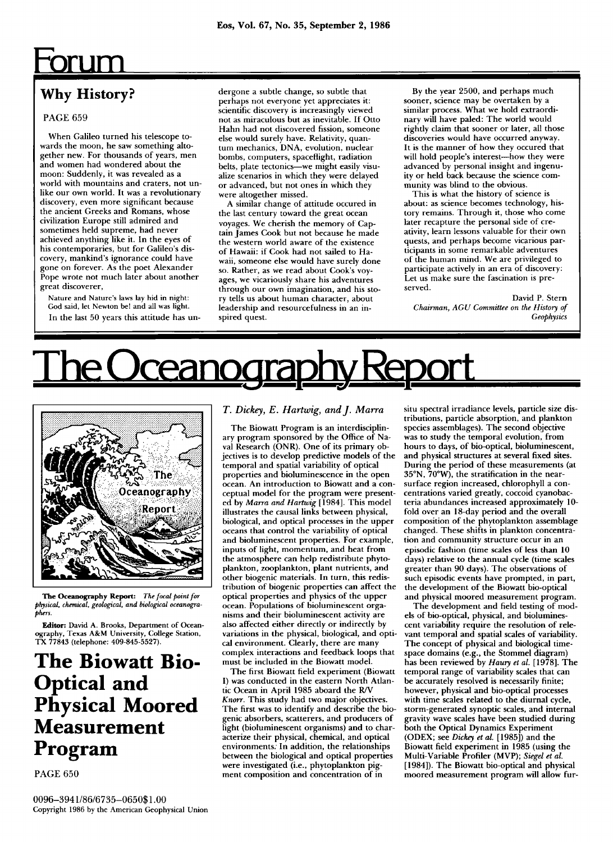## <u>Forum</u>

### **Why History?**

### **PAG E 65 9**

When Galileo turned his telescope towards the moon, he saw something altogether new. For thousands of years, men and women had wondered about the moon: Suddenly, it was revealed as a world with mountains and craters, not unlike our own world. It was a revolutionary discovery, even more significant because the ancient Greeks and Romans, whose civilization Europe still admired and sometimes held supreme, had never achieved anything like it. In the eyes of his contemporaries, but for Galileo's discovery, mankind's ignorance could have gone on forever. As the poet Alexander Pope wrote not much later about another great discoverer,

**Nature and Nature's laws lay hid in night: God said, let Newton be! and all was light.**  In the last 50 years this attitude has undergone a subtle change, so subtle that perhaps not everyone yet appreciates it: scientific discovery is increasingly viewed not as miraculous but as inevitable. If Otto Hahn had not discovered fission, someone else would surely have. Relativity, quantum mechanics, DNA, evolution, nuclear bombs, computers, spaceflight, radiation belts, plate tectonics—we might easily visualize scenarios in which they were delayed or advanced, but not ones in which they were altogether missed.

A similar change of attitude occured in the last century toward the great ocean voyages. We cherish the memory of Captain James Cook but not because he made the western world aware of the existence of Hawaii: if Cook had not sailed to Hawaii, someone else would have surely done so. Rather, as we read about Cook's voyages, we vicariously share his adventures through our own imagination, and his story tells us about human character, about leadership and resourcefulness in an inspired quest.

By the year 2500, and perhaps much sooner, science may be overtaken by a similar process. What we hold extraordinary will have paled: The world would rightly claim that sooner or later, all those discoveries would have occurred anyway. It is the manner of how they occured that will hold people's interest—how they were advanced by personal insight and ingenuity or held back because the science community was blind to the obvious.

This is what the history of science is about: as science becomes technology, history remains. Through it, those who come later recapture the personal side of creativity, learn lessons valuable for their own quests, and perhaps become vicarious participants in some remarkable adventures of the human mind. We are privileged to participate actively in an era of discovery: Let us make sure the fascination is preserved.

David P. Stern *Chairman, AGU Committee on the History of Geophysics* 

# <u>The Oceanography Report</u>



**The Oceanography Report:** *The focal point for physical, chemical, geological, and biological oceanographers.* 

**Editor: David A. Brooks, Department of Oceanography, Texas A&M University, College Station, TX 77843 (telephone: 409-845-5527).** 

**The Biowatt Bio-Optical and Physical Moored Measurement Program** 

**PAG E 65 0** 

### *T. Dickey, E. Hartwig, and J. Marra*

The Biowatt Program is an interdisciplinary program sponsored by the Office of Naval Research (ONR). One of its primary objectives is to develop predictive models of the temporal and spatial variability of optical properties and bioluminescence in the open ocean. An introduction to Biowatt and a conceptual model for the program were presented by Marra and Hartwig [1984]. This model illustrates the causal links between physical, biological, and optical processes in the upper oceans that control the variability of optical and bioluminescent properties. For example, inputs of light, momentum, and heat from the atmosphere can help redistribute phytoplankton, zooplankton, plant nutrients, and other biogenic materials. In turn, this redistribution of biogenic properties can affect the optical properties and physics of the upper ocean. Populations of bioluminescent orga nisms and their bioluminescent activity are also affected either directly or indirectly by variations in the physical, biological, and optical environment. Clearly, there are many complex interactions and feedback loops that must be included in the Biowatt model.

The first Biowatt field experiment (Biowatt I) was conducted in the eastern North Atlantic Ocean in April 1985 aboard the R/V *Knorr*. This study had two major objectives. The first was to identify and describe the biogenic absorbers, scatterers, and producers of light (bioluminescent organisms) and to characterize their physical, chemical, and optical environments. In addition, the relationships between the biological and optical properties were investigated (i.e., phytoplankton pigment composition and concentration of in

situ spectral irradiance levels, particle size distributions, particle absorption, and plankton species assemblages). The second objective was to study the temporal evolution, from hours to days, of bio-optical, bioluminescent, and physical structures at several fixed sites. During the period of these measurements (at  $35^{\circ}$ N,  $70^{\circ}$ W), the stratification in the nearsurface region increased, chlorophyll a concentrations varied greatly, coccoid cyanobacteria abundances increased approximately 10fold over an 18-day period and the overall composition of the phytoplankton assemblage changed. These shifts in plankton concentration and community structure occur in an episodic fashion (time scales of less than 10 days) relative to the annual cycle (time scales greater than 90 days). The observations of such episodic events have prompted, in part, the development of the Biowatt bio-optical and physical moored measurement program.

The development and field testing of models of bio-optical, physical, and bioluminescent variability require the resolution of relevant temporal and spatial scales of variability. The concept of physical and biological timespace domains (e.g., the Stommel diagram) has been reviewed by *Haury et al.* [1978]. The temporal range of variability scales that can be accurately resolved is necessarily finite; however, physical and bio-optical processes with time scales related to the diurnal cycle, storm-generated synoptic scales, and internal gravity wave scales have been studied during both the Optical Dynamics Experiment (ODEX; see Dickey et al. [1985]) and the Biowatt field experiment in 1985 (using the Multi-Variable Profiler (MVP); *Siegel et al.*  [1984]). The Biowatt bio-optical and physical moored measurement program will allow fur-